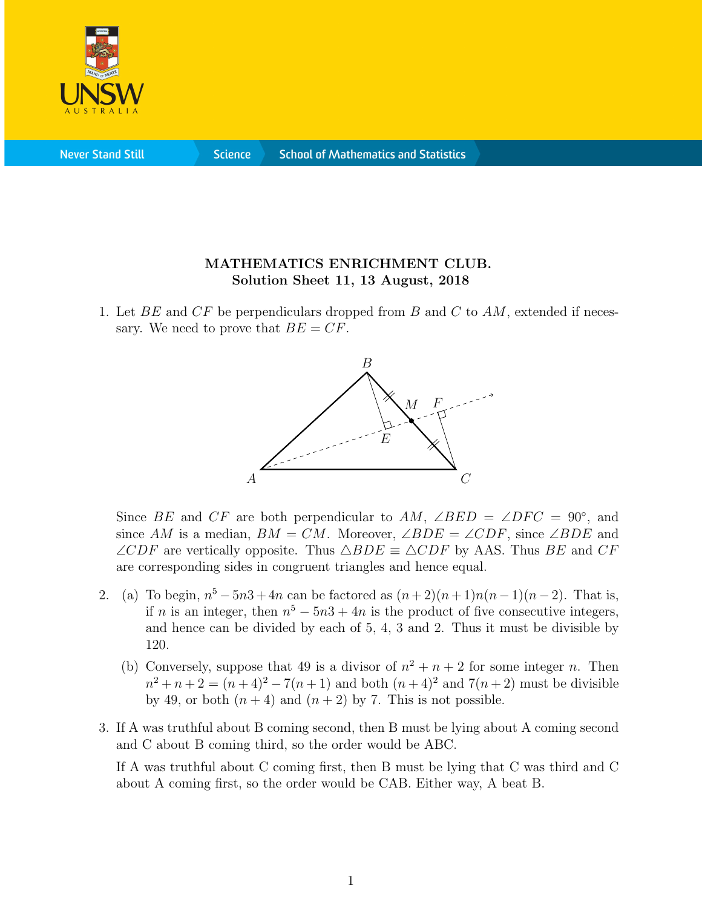

**Never Stand Still** 

**Science** 

## MATHEMATICS ENRICHMENT CLUB. Solution Sheet 11, 13 August, 2018

1. Let  $BE$  and  $CF$  be perpendiculars dropped from B and C to AM, extended if necessary. We need to prove that  $BE = CF$ .



Since BE and CF are both perpendicular to AM,  $\angle BED = \angle DFC = 90^{\circ}$ , and since AM is a median,  $BM = CM$ . Moreover,  $\angle BDE = \angle CDF$ , since  $\angle BDE$  and  $\angle CDF$  are vertically opposite. Thus  $\triangle BDE \equiv \triangle CDF$  by AAS. Thus BE and CF are corresponding sides in congruent triangles and hence equal.

- 2. (a) To begin,  $n^5 5n^3 + 4n$  can be factored as  $(n+2)(n+1)n(n-1)(n-2)$ . That is, if n is an integer, then  $n^5 - 5n^3 + 4n$  is the product of five consecutive integers, and hence can be divided by each of 5, 4, 3 and 2. Thus it must be divisible by 120.
	- (b) Conversely, suppose that 49 is a divisor of  $n^2 + n + 2$  for some integer n. Then  $n^2 + n + 2 = (n+4)^2 - 7(n+1)$  and both  $(n+4)^2$  and  $7(n+2)$  must be divisible by 49, or both  $(n+4)$  and  $(n+2)$  by 7. This is not possible.
- 3. If A was truthful about B coming second, then B must be lying about A coming second and C about B coming third, so the order would be ABC.

If A was truthful about C coming first, then B must be lying that C was third and C about A coming first, so the order would be CAB. Either way, A beat B.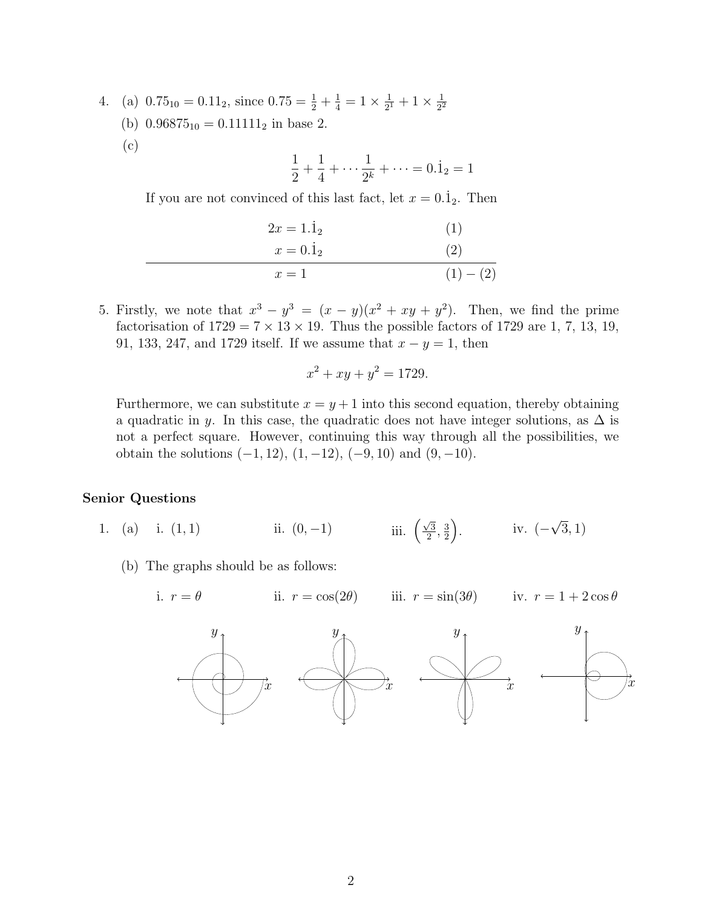- 4. (a)  $0.75_{10} = 0.11_2$ , since  $0.75 = \frac{1}{2} + \frac{1}{4} = 1 \times \frac{1}{2^1}$  $\frac{1}{2^1}+1\times\frac{1}{2^2}$ 2 2
	- (b)  $0.96875_{10} = 0.11111_2$  in base 2.
	- (c)

$$
\frac{1}{2} + \frac{1}{4} + \dots + \frac{1}{2^{k}} + \dots = 0.\dot{1}_{2} = 1
$$

If you are not convinced of this last fact, let  $x = 0.\dot{1}_2$ . Then

$$
2x = 1.\dot{1}_2
$$
(1)  

$$
x = 0.\dot{1}_2
$$
(2)  

$$
x = 1
$$
(1) - (2)

5. Firstly, we note that  $x^3 - y^3 = (x - y)(x^2 + xy + y^2)$ . Then, we find the prime factorisation of  $1729 = 7 \times 13 \times 19$ . Thus the possible factors of 1729 are 1, 7, 13, 19, 91, 133, 247, and 1729 itself. If we assume that  $x - y = 1$ , then

$$
x^2 + xy + y^2 = 1729.
$$

Furthermore, we can substitute  $x = y + 1$  into this second equation, thereby obtaining a quadratic in y. In this case, the quadratic does not have integer solutions, as  $\Delta$  is not a perfect square. However, continuing this way through all the possibilities, we obtain the solutions  $(-1, 12)$ ,  $(1, -12)$ ,  $(-9, 10)$  and  $(9, -10)$ .

## Senior Questions

- 1. (a) i. (1, 1) iii.  $(0, -1)$  iii.  $(\frac{\sqrt{3}}{2})$  $\frac{\sqrt{3}}{2},\frac{3}{2}$  $\frac{3}{2}$ ). iv. (– √ 3, 1)
	- (b) The graphs should be as follows:
		- i.  $r = \theta$ ii.  $r = \cos(2\theta)$ iii.  $r = \sin(3\theta)$  iv.  $r = 1 + 2\cos\theta$